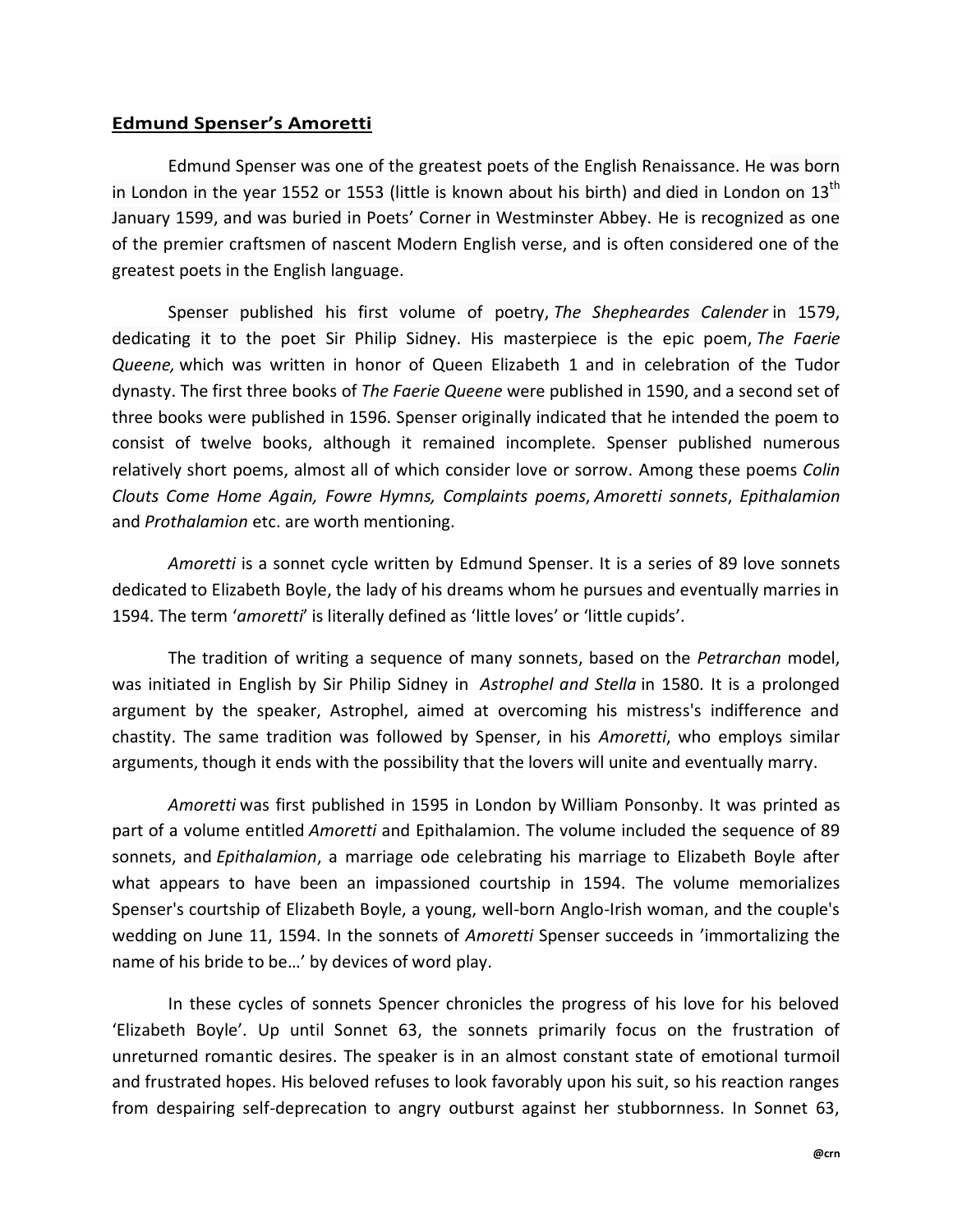## **Edmund Spenser's Amoretti**

Edmund Spenser was one of the greatest poets of the English Renaissance. He was born in London in the year 1552 or 1553 (little is known about his birth) and died in London on  $13<sup>th</sup>$ January 1599, and was buried in Poets' Corner in Westminster Abbey. He is recognized as one of the premier craftsmen of nascent Modern English verse, and is often considered one of the greatest poets in the English language.

Spenser published his first volume of poetry, *The Shepheardes Calender* in 1579, dedicating it to the poet Sir Philip Sidney. His masterpiece is the epic poem, *The Faerie Queene,* which was written in honor of Queen Elizabeth 1 and in celebration of the Tudor dynasty. The first three books of *The Faerie Queene* were published in 1590, and a second set of three books were published in 1596. Spenser originally indicated that he intended the poem to consist of twelve books, although it remained incomplete. Spenser published numerous relatively short poems, almost all of which consider love or sorrow. Among these poems *Colin Clouts Come Home Again, Fowre Hymns, Complaints poems*, *Amoretti sonnets*, *Epithalamion* and *Prothalamion* etc. are worth mentioning.

*Amoretti* is a sonnet cycle written by Edmund Spenser. It is a series of 89 love sonnets dedicated to Elizabeth Boyle, the lady of his dreams whom he pursues and eventually marries in 1594. The term '*amoretti*' is literally defined as 'little loves' or 'little cupids'.

The tradition of writing a sequence of many sonnets, based on the *Petrarchan* model, was initiated in English by Sir Philip Sidney in *Astrophel and Stella* in 1580. It is a prolonged argument by the speaker, Astrophel, aimed at overcoming his mistress's indifference and chastity. The same tradition was followed by Spenser, in his *Amoretti*, who employs similar arguments, though it ends with the possibility that the lovers will unite and eventually marry.

*Amoretti* was first published in 1595 in London by William Ponsonby. It was printed as part of a volume entitled *Amoretti* and Epithalamion. The volume included the sequence of 89 sonnets, and *Epithalamion*, a marriage ode celebrating his marriage to Elizabeth Boyle after what appears to have been an impassioned courtship in 1594. The volume memorializes Spenser's courtship of Elizabeth Boyle, a young, well-born Anglo-Irish woman, and the couple's wedding on June 11, 1594. In the sonnets of *Amoretti* Spenser succeeds in 'immortalizing the name of his bride to be…' by devices of word play.

In these cycles of sonnets Spencer chronicles the progress of his love for his beloved 'Elizabeth Boyle'. Up until Sonnet 63, the sonnets primarily focus on the frustration of unreturned romantic desires. The speaker is in an almost constant state of emotional turmoil and frustrated hopes. His beloved refuses to look favorably upon his suit, so his reaction ranges from despairing self-deprecation to angry outburst against her stubbornness. In Sonnet 63,